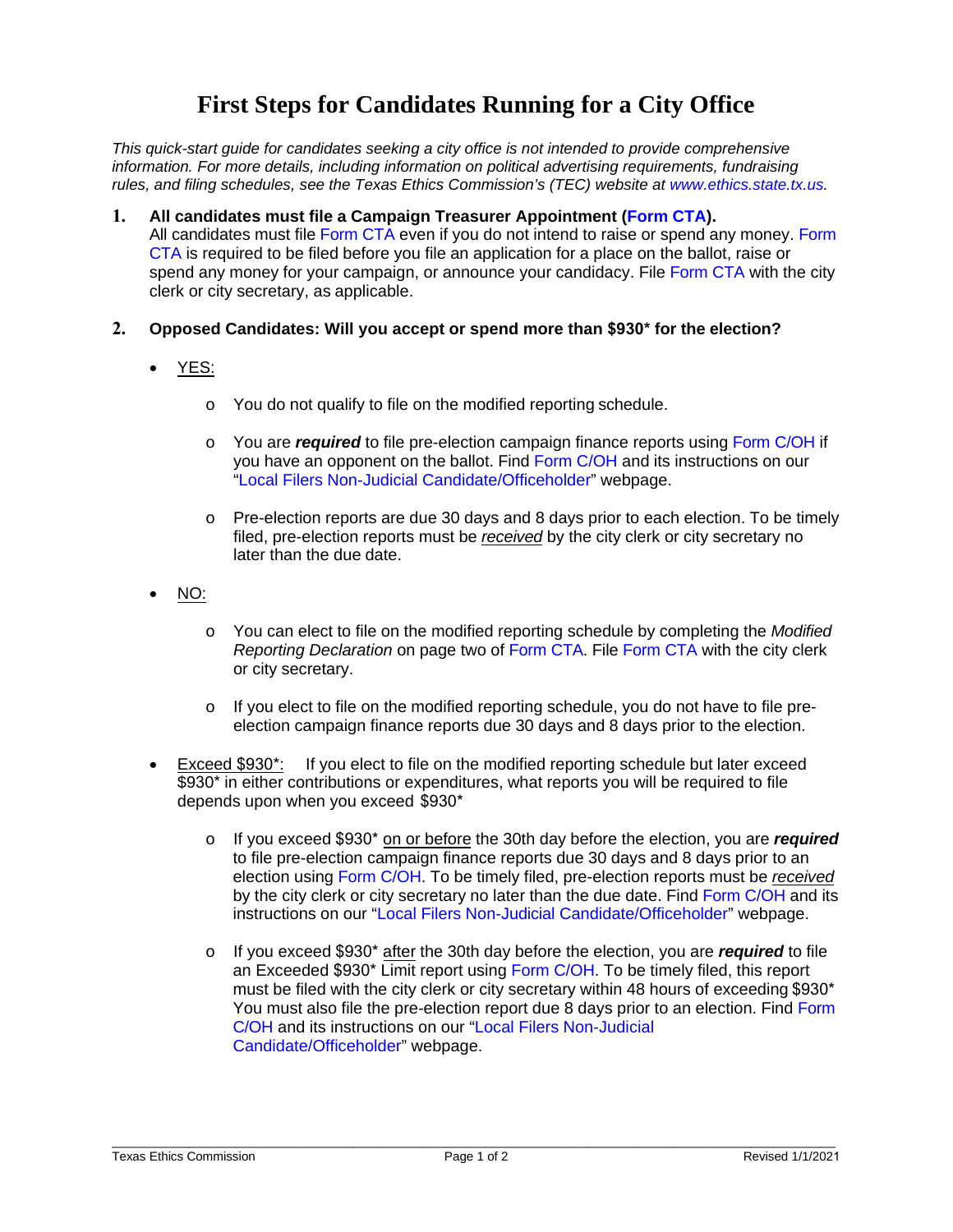# **First Steps for Candidates Running for a City Office**

*This quick-start guide for candidates seeking a city office is not intended to provide comprehensive information. For more details, including information on political advertising requirements, fundraising rules, and filing schedules, see the Texas Ethics Commission's (TEC) website at [www.ethics.state.tx.us.](https://www.ethics.state.tx.us/)* 

- **1. All candidates must file a Campaign Treasurer Appointment [\(Form](https://www.ethics.state.tx.us/data/forms/coh/cta.pdf) CTA).** All candidates must fil[e Form](https://www.ethics.state.tx.us/data/forms/coh/cta.pdf) CTA even if you do not intend to raise or spend any money. Form CTA is required to be filed before you file an application for a place on the ballot, raise or [spend any](https://www.ethics.state.tx.us/data/forms/coh/cta.pdf) money for your campaign, or announce your candidacy. File [Form](https://www.ethics.state.tx.us/data/forms/coh/cta.pdf) CTA with the city clerk or city secretary, as applicable.
- **2. Opposed Candidates: Will you accept or spend more than \$930\* for the election?**
	- YES:
		- o You do not qualify to file on the modified reporting schedule.
		- o You are *required* to file pre-election campaign finance reports usin[g Form C/OH](https://www.ethics.state.tx.us/data/forms/coh/coh.pdf) if you have an opponent on the ballot. Find Form [C/OH](https://www.ethics.state.tx.us/data/forms/coh/coh.pdf) and its instructions on our "Local Filers [Non-Judicial Candidate/Officeholder"](http://www.ethics.state.tx.us/forms/local/localcohfrm.php) webpage.
		- $\circ$  Pre-election reports are due 30 days and 8 days prior to each election. To be timely filed, pre-election reports must be *received* by the city clerk or city secretary no later than the due date.
	- NO:
		- o You can elect to file on the modified reporting schedule by completing the *Modified Reporting Declaration* on page two of [Form](https://www.ethics.state.tx.us/data/forms/coh/cta.pdf) CTA. File [Form CTA](https://www.ethics.state.tx.us/data/forms/coh/cta.pdf) with the city clerk or city secretary.
		- $\circ$  If you elect to file on the modified reporting schedule, you do not have to file preelection campaign finance reports due 30 days and 8 days prior to the election.
	- Exceed \$930\*: If you elect to file on the modified reporting schedule but later exceed \$930<sup>\*</sup> in either contributions or expenditures, what reports you will be required to file depends upon when you exceed \$930\*
		- o If you exceed \$930\* on or before the 30th day before the election, you are *required* to file pre-election campaign finance reports due 30 days and 8 days prior to an election using Form [C/OH.](https://www.ethics.state.tx.us/data/forms/coh/coh.pdf) To be timely filed, pre-election reports must be *received* by the city clerk or city secretary no later than the due date. Find Form C/OH and its instructions on our "Local Filers Non-Judicial [Candidate/Officeholder"](http://www.ethics.state.tx.us/forms/local/localcohfrm.php) we[bpage.](https://www.ethics.state.tx.us/data/forms/coh/coh.pdf)
		- o [If you](https://www.ethics.state.tx.us/data/forms/coh/coh.pdf) exceed \$930\* after the 30th day before the election, you are *required* to file an Exceeded \$930\* Limit report using [Form C/OH.](https://www.ethics.state.tx.us/data/forms/coh/coh.pdf) To be timely filed, this report must be filed with the city clerk or city secretary within 48 hours of exceeding \$930\* You must also file the pre-election report due 8 days prior to an election. Find Form C/OH and its instructions on our "Local Filers Non-Judicial Candidate/Officeholder" webpage.